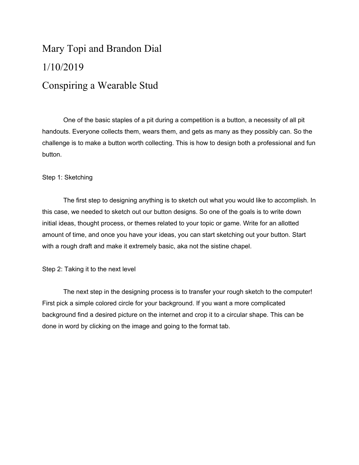## Mary Topi and Brandon Dial 1/10/2019 Conspiring a Wearable Stud

One of the basic staples of a pit during a competition is a button, a necessity of all pit handouts. Everyone collects them, wears them, and gets as many as they possibly can. So the challenge is to make a button worth collecting. This is how to design both a professional and fun button.

## Step 1: Sketching

The first step to designing anything is to sketch out what you would like to accomplish. In this case, we needed to sketch out our button designs. So one of the goals is to write down initial ideas, thought process, or themes related to your topic or game. Write for an allotted amount of time, and once you have your ideas, you can start sketching out your button. Start with a rough draft and make it extremely basic, aka not the sistine chapel.

Step 2: Taking it to the next level

The next step in the designing process is to transfer your rough sketch to the computer! First pick a simple colored circle for your background. If you want a more complicated background find a desired picture on the internet and crop it to a circular shape. This can be done in word by clicking on the image and going to the format tab.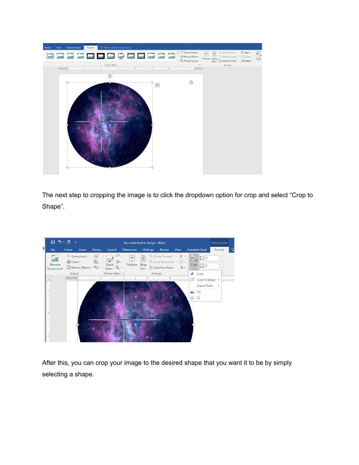

The next step to cropping the image is to click the dropdown option for crop and select "Crop to Shape".



After this, you can crop your image to the desired shape that you want it to be by simply selecting a shape.